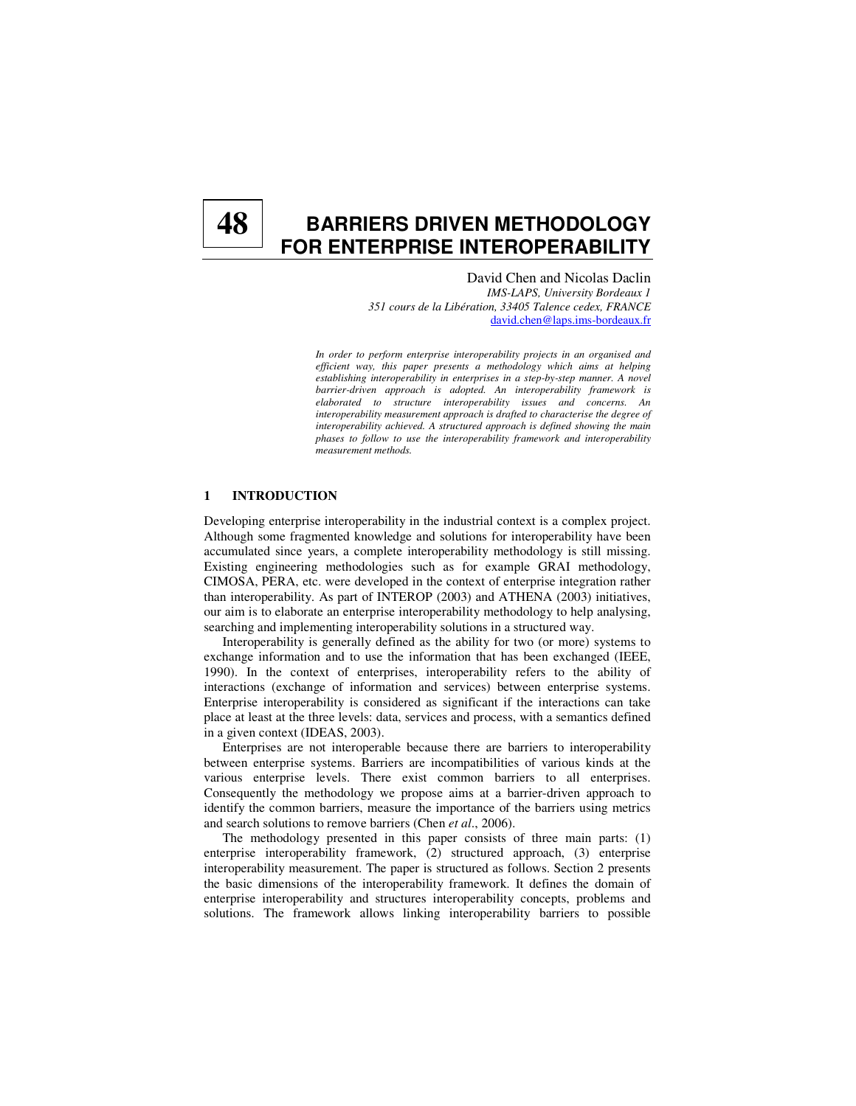## **BARRIERS DRIVEN METHODOLOGY FOR ENTERPRISE INTEROPERABILITY 48**

David Chen and Nicolas Daclin *IMS-LAPS, University Bordeaux 1 351 cours de la Libération, 33405 Talence cedex, FRANCE* david.chen@laps.ims-bordeaux.fr

*In order to perform enterprise interoperability projects in an organised and efficient way, this paper presents a methodology which aims at helping establishing interoperability in enterprises in a step-by-step manner. A novel barrier-driven approach is adopted. An interoperability framework is elaborated to structure interoperability issues and concerns. An interoperability measurement approach is drafted to characterise the degree of interoperability achieved. A structured approach is defined showing the main phases to follow to use the interoperability framework and interoperability measurement methods.*

### **1 INTRODUCTION**

Developing enterprise interoperability in the industrial context is a complex project. Although some fragmented knowledge and solutions for interoperability have been accumulated since years, a complete interoperability methodology is still missing. Existing engineering methodologies such as for example GRAI methodology, CIMOSA, PERA, etc. were developed in the context of enterprise integration rather than interoperability. As part of INTEROP (2003) and ATHENA (2003) initiatives, our aim is to elaborate an enterprise interoperability methodology to help analysing, searching and implementing interoperability solutions in a structured way.

Interoperability is generally defined as the ability for two (or more) systems to exchange information and to use the information that has been exchanged (IEEE, 1990). In the context of enterprises, interoperability refers to the ability of interactions (exchange of information and services) between enterprise systems. Enterprise interoperability is considered as significant if the interactions can take place at least at the three levels: data, services and process, with a semantics defined in a given context (IDEAS, 2003).

Enterprises are not interoperable because there are barriers to interoperability between enterprise systems. Barriers are incompatibilities of various kinds at the various enterprise levels. There exist common barriers to all enterprises. Consequently the methodology we propose aims at a barrier-driven approach to identify the common barriers, measure the importance of the barriers using metrics and search solutions to remove barriers (Chen *et al*., 2006).

The methodology presented in this paper consists of three main parts: (1) enterprise interoperability framework, (2) structured approach, (3) enterprise interoperability measurement. The paper is structured as follows. Section 2 presents the basic dimensions of the interoperability framework. It defines the domain of enterprise interoperability and structures interoperability concepts, problems and solutions. The framework allows linking interoperability barriers to possible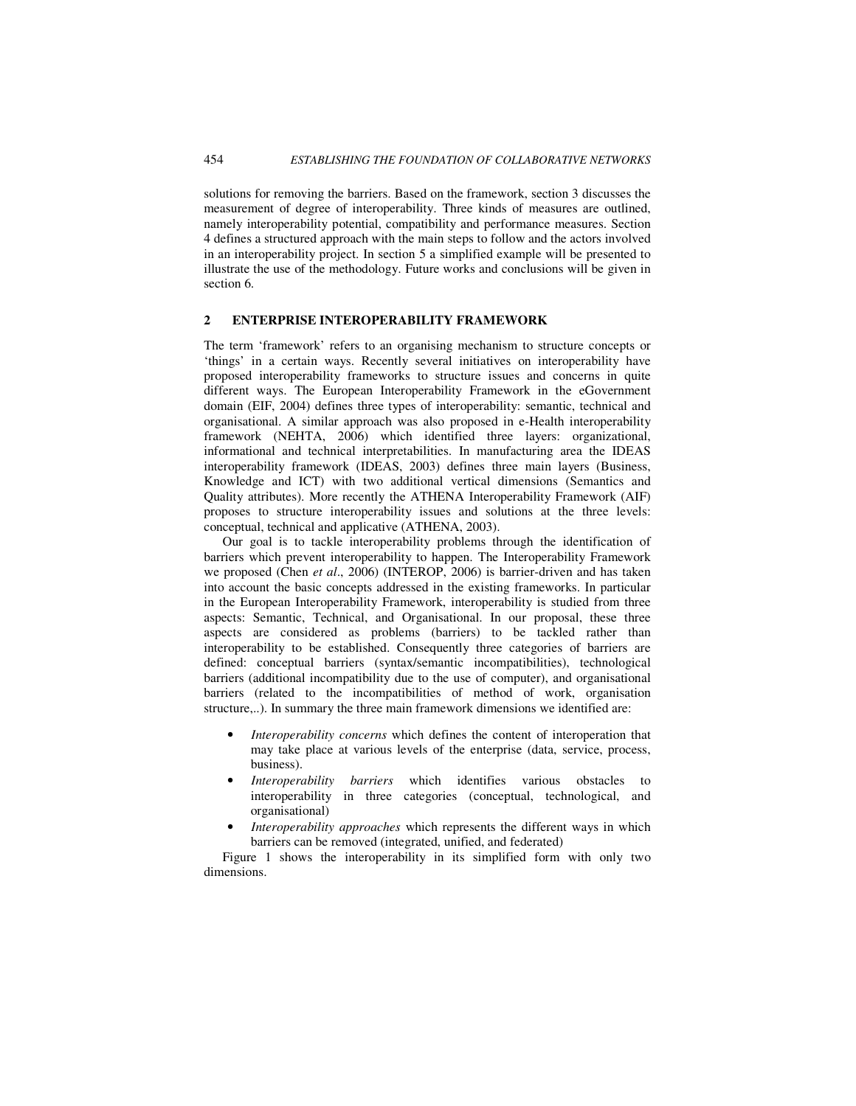solutions for removing the barriers. Based on the framework, section 3 discusses the measurement of degree of interoperability. Three kinds of measures are outlined, namely interoperability potential, compatibility and performance measures. Section 4 defines a structured approach with the main steps to follow and the actors involved in an interoperability project. In section 5 a simplified example will be presented to illustrate the use of the methodology. Future works and conclusions will be given in section 6.

## **2 ENTERPRISE INTEROPERABILITY FRAMEWORK**

The term 'framework' refers to an organising mechanism to structure concepts or 'things' in a certain ways. Recently several initiatives on interoperability have proposed interoperability frameworks to structure issues and concerns in quite different ways. The European Interoperability Framework in the eGovernment domain (EIF, 2004) defines three types of interoperability: semantic, technical and organisational. A similar approach was also proposed in e-Health interoperability framework (NEHTA, 2006) which identified three layers: organizational, informational and technical interpretabilities. In manufacturing area the IDEAS interoperability framework (IDEAS, 2003) defines three main layers (Business, Knowledge and ICT) with two additional vertical dimensions (Semantics and Quality attributes). More recently the ATHENA Interoperability Framework (AIF) proposes to structure interoperability issues and solutions at the three levels: conceptual, technical and applicative (ATHENA, 2003).

Our goal is to tackle interoperability problems through the identification of barriers which prevent interoperability to happen. The Interoperability Framework we proposed (Chen *et al*., 2006) (INTEROP, 2006) is barrier-driven and has taken into account the basic concepts addressed in the existing frameworks. In particular in the European Interoperability Framework, interoperability is studied from three aspects: Semantic, Technical, and Organisational. In our proposal, these three aspects are considered as problems (barriers) to be tackled rather than interoperability to be established. Consequently three categories of barriers are defined: conceptual barriers (syntax/semantic incompatibilities), technological barriers (additional incompatibility due to the use of computer), and organisational barriers (related to the incompatibilities of method of work, organisation structure,..). In summary the three main framework dimensions we identified are:

- *Interoperability concerns* which defines the content of interoperation that may take place at various levels of the enterprise (data, service, process, business).
- *Interoperability barriers* which identifies various obstacles to interoperability in three categories (conceptual, technological, and organisational)
- *Interoperability approaches* which represents the different ways in which barriers can be removed (integrated, unified, and federated)

Figure 1 shows the interoperability in its simplified form with only two dimensions.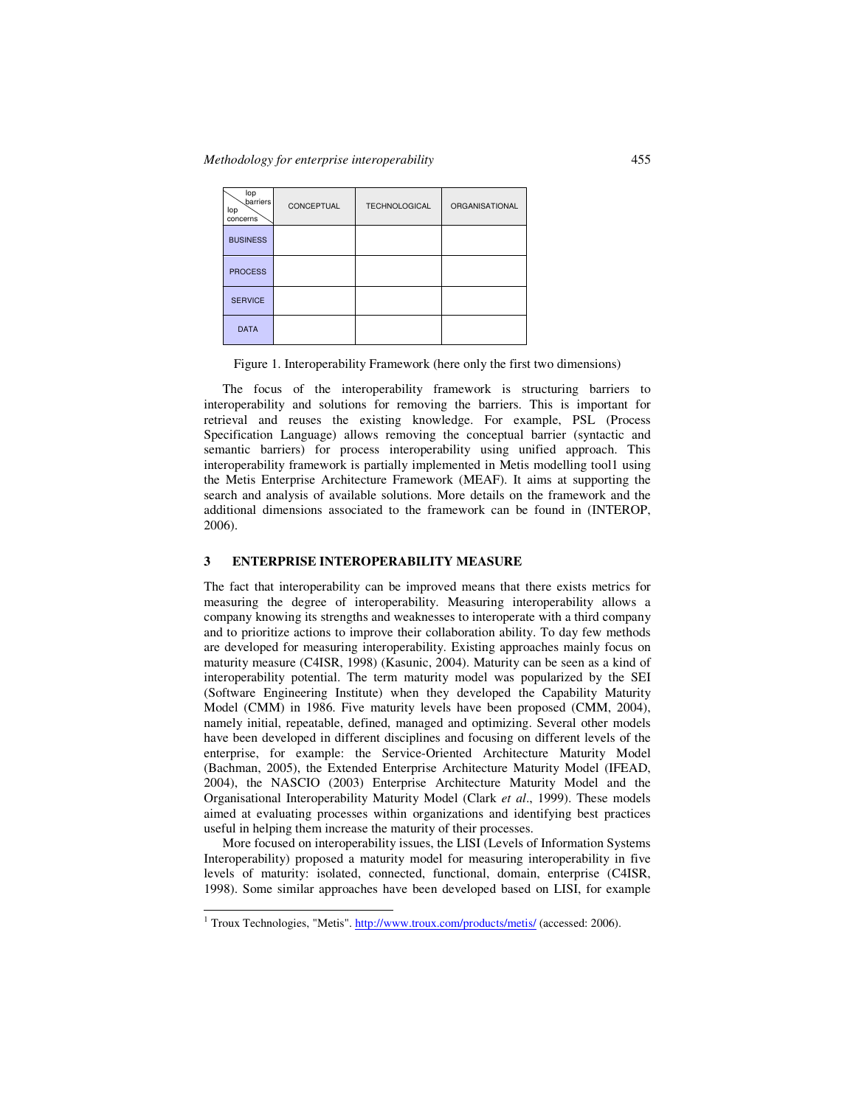| lop<br>barriers<br>lop<br>concerns | CONCEPTUAL | <b>TECHNOLOGICAL</b> | ORGANISATIONAL |
|------------------------------------|------------|----------------------|----------------|
| <b>BUSINESS</b>                    |            |                      |                |
| <b>PROCESS</b>                     |            |                      |                |
| <b>SERVICE</b>                     |            |                      |                |
| <b>DATA</b>                        |            |                      |                |

Figure 1. Interoperability Framework (here only the first two dimensions)

The focus of the interoperability framework is structuring barriers to interoperability and solutions for removing the barriers. This is important for retrieval and reuses the existing knowledge. For example, PSL (Process Specification Language) allows removing the conceptual barrier (syntactic and semantic barriers) for process interoperability using unified approach. This interoperability framework is partially implemented in Metis modelling tool1 using the Metis Enterprise Architecture Framework (MEAF). It aims at supporting the search and analysis of available solutions. More details on the framework and the additional dimensions associated to the framework can be found in (INTEROP, 2006).

## **3 ENTERPRISE INTEROPERABILITY MEASURE**

The fact that interoperability can be improved means that there exists metrics for measuring the degree of interoperability. Measuring interoperability allows a company knowing its strengths and weaknesses to interoperate with a third company and to prioritize actions to improve their collaboration ability. To day few methods are developed for measuring interoperability. Existing approaches mainly focus on maturity measure (C4ISR, 1998) (Kasunic, 2004). Maturity can be seen as a kind of interoperability potential. The term maturity model was popularized by the SEI (Software Engineering Institute) when they developed the Capability Maturity Model (CMM) in 1986. Five maturity levels have been proposed (CMM, 2004), namely initial, repeatable, defined, managed and optimizing. Several other models have been developed in different disciplines and focusing on different levels of the enterprise, for example: the Service-Oriented Architecture Maturity Model (Bachman, 2005), the Extended Enterprise Architecture Maturity Model (IFEAD, 2004), the NASCIO (2003) Enterprise Architecture Maturity Model and the Organisational Interoperability Maturity Model (Clark *et al*., 1999). These models aimed at evaluating processes within organizations and identifying best practices useful in helping them increase the maturity of their processes.

More focused on interoperability issues, the LISI (Levels of Information Systems Interoperability) proposed a maturity model for measuring interoperability in five levels of maturity: isolated, connected, functional, domain, enterprise (C4ISR, 1998). Some similar approaches have been developed based on LISI, for example

<sup>&</sup>lt;sup>1</sup> Troux Technologies, "Metis". http://www.troux.com/products/metis/ (accessed: 2006).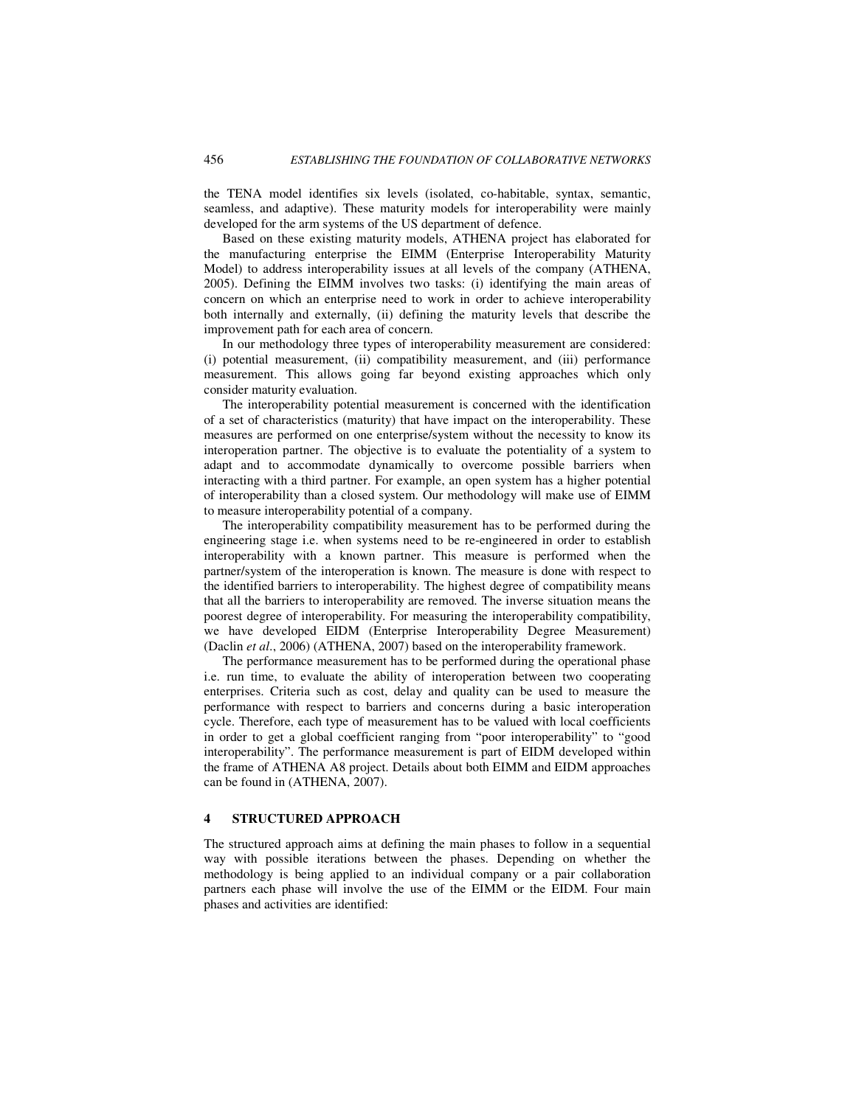the TENA model identifies six levels (isolated, co-habitable, syntax, semantic, seamless, and adaptive). These maturity models for interoperability were mainly developed for the arm systems of the US department of defence.

Based on these existing maturity models, ATHENA project has elaborated for the manufacturing enterprise the EIMM (Enterprise Interoperability Maturity Model) to address interoperability issues at all levels of the company (ATHENA, 2005). Defining the EIMM involves two tasks: (i) identifying the main areas of concern on which an enterprise need to work in order to achieve interoperability both internally and externally, (ii) defining the maturity levels that describe the improvement path for each area of concern.

In our methodology three types of interoperability measurement are considered: (i) potential measurement, (ii) compatibility measurement, and (iii) performance measurement. This allows going far beyond existing approaches which only consider maturity evaluation.

The interoperability potential measurement is concerned with the identification of a set of characteristics (maturity) that have impact on the interoperability. These measures are performed on one enterprise/system without the necessity to know its interoperation partner. The objective is to evaluate the potentiality of a system to adapt and to accommodate dynamically to overcome possible barriers when interacting with a third partner. For example, an open system has a higher potential of interoperability than a closed system. Our methodology will make use of EIMM to measure interoperability potential of a company.

The interoperability compatibility measurement has to be performed during the engineering stage i.e. when systems need to be re-engineered in order to establish interoperability with a known partner. This measure is performed when the partner/system of the interoperation is known. The measure is done with respect to the identified barriers to interoperability. The highest degree of compatibility means that all the barriers to interoperability are removed. The inverse situation means the poorest degree of interoperability. For measuring the interoperability compatibility, we have developed EIDM (Enterprise Interoperability Degree Measurement) (Daclin *et al*., 2006) (ATHENA, 2007) based on the interoperability framework.

The performance measurement has to be performed during the operational phase i.e. run time, to evaluate the ability of interoperation between two cooperating enterprises. Criteria such as cost, delay and quality can be used to measure the performance with respect to barriers and concerns during a basic interoperation cycle. Therefore, each type of measurement has to be valued with local coefficients in order to get a global coefficient ranging from "poor interoperability" to "good interoperability". The performance measurement is part of EIDM developed within the frame of ATHENA A8 project. Details about both EIMM and EIDM approaches can be found in (ATHENA, 2007).

#### **4 STRUCTURED APPROACH**

The structured approach aims at defining the main phases to follow in a sequential way with possible iterations between the phases. Depending on whether the methodology is being applied to an individual company or a pair collaboration partners each phase will involve the use of the EIMM or the EIDM. Four main phases and activities are identified: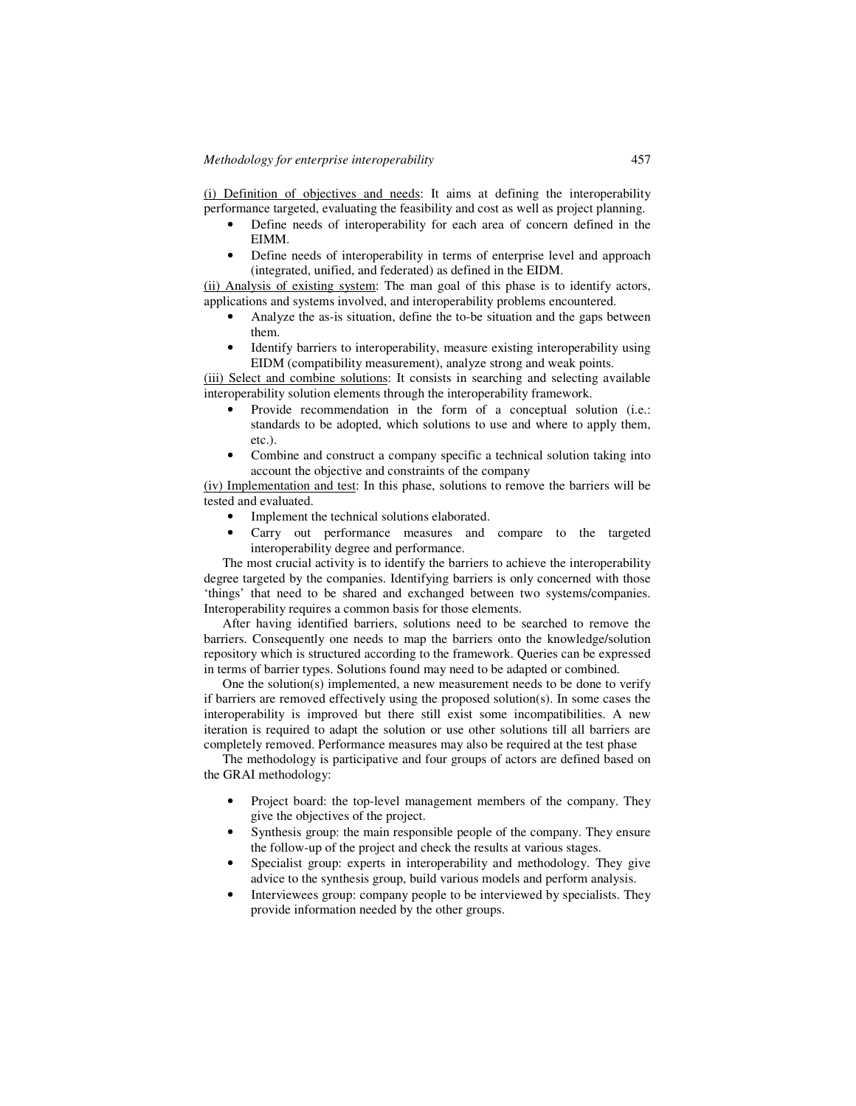(i) Definition of objectives and needs: It aims at defining the interoperability performance targeted, evaluating the feasibility and cost as well as project planning.

- Define needs of interoperability for each area of concern defined in the EIMM.
- Define needs of interoperability in terms of enterprise level and approach (integrated, unified, and federated) as defined in the EIDM.

(ii) Analysis of existing system: The man goal of this phase is to identify actors, applications and systems involved, and interoperability problems encountered.

- Analyze the as-is situation, define the to-be situation and the gaps between them.
- Identify barriers to interoperability, measure existing interoperability using EIDM (compatibility measurement), analyze strong and weak points.

(iii) Select and combine solutions: It consists in searching and selecting available interoperability solution elements through the interoperability framework.

- Provide recommendation in the form of a conceptual solution (i.e.: standards to be adopted, which solutions to use and where to apply them, etc.).
- Combine and construct a company specific a technical solution taking into account the objective and constraints of the company

(iv) Implementation and test: In this phase, solutions to remove the barriers will be tested and evaluated.

- Implement the technical solutions elaborated.
- Carry out performance measures and compare to the targeted interoperability degree and performance.

The most crucial activity is to identify the barriers to achieve the interoperability degree targeted by the companies. Identifying barriers is only concerned with those 'things' that need to be shared and exchanged between two systems/companies. Interoperability requires a common basis for those elements.

After having identified barriers, solutions need to be searched to remove the barriers. Consequently one needs to map the barriers onto the knowledge/solution repository which is structured according to the framework. Queries can be expressed in terms of barrier types. Solutions found may need to be adapted or combined.

One the solution(s) implemented, a new measurement needs to be done to verify if barriers are removed effectively using the proposed solution(s). In some cases the interoperability is improved but there still exist some incompatibilities. A new iteration is required to adapt the solution or use other solutions till all barriers are completely removed. Performance measures may also be required at the test phase

The methodology is participative and four groups of actors are defined based on the GRAI methodology:

- Project board: the top-level management members of the company. They give the objectives of the project.
- Synthesis group: the main responsible people of the company. They ensure the follow-up of the project and check the results at various stages.
- Specialist group: experts in interoperability and methodology. They give advice to the synthesis group, build various models and perform analysis.
- Interviewees group: company people to be interviewed by specialists. They provide information needed by the other groups.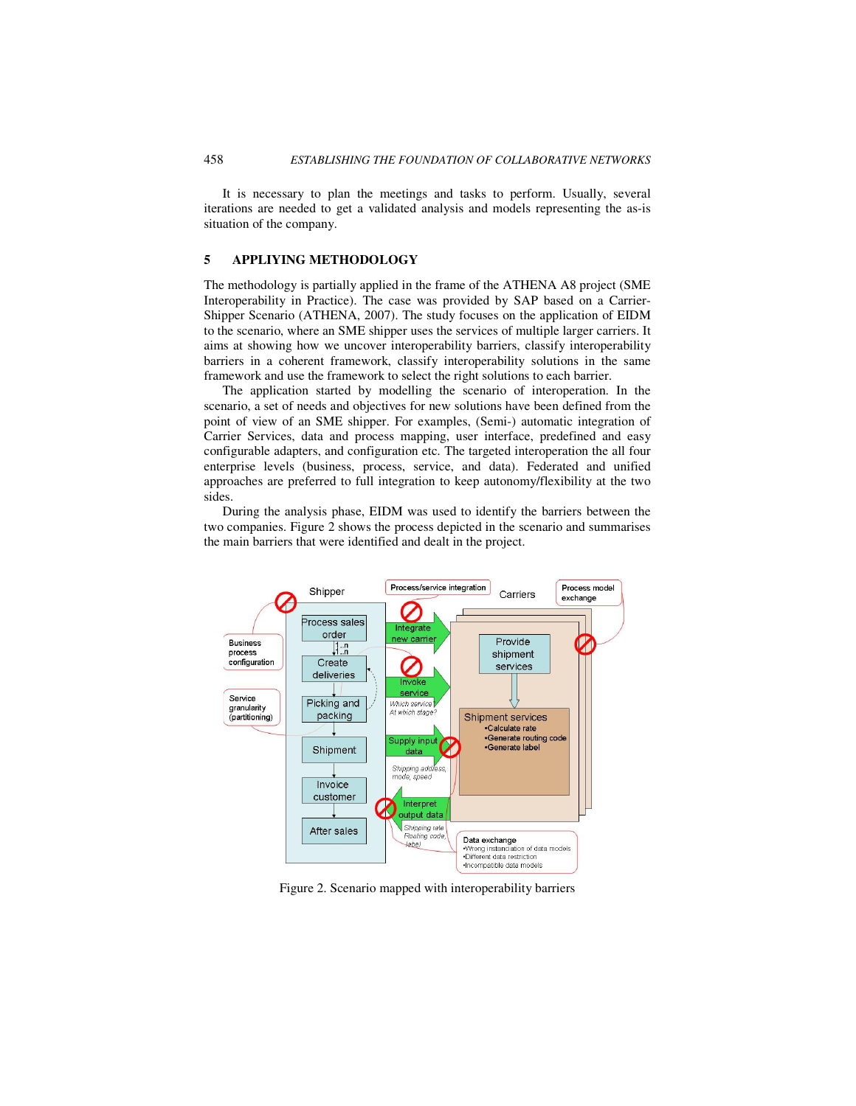It is necessary to plan the meetings and tasks to perform. Usually, several iterations are needed to get a validated analysis and models representing the as-is situation of the company.

## **5 APPLIYING METHODOLOGY**

The methodology is partially applied in the frame of the ATHENA A8 project (SME Interoperability in Practice). The case was provided by SAP based on a Carrier-Shipper Scenario (ATHENA, 2007). The study focuses on the application of EIDM to the scenario, where an SME shipper uses the services of multiple larger carriers. It aims at showing how we uncover interoperability barriers, classify interoperability barriers in a coherent framework, classify interoperability solutions in the same framework and use the framework to select the right solutions to each barrier.

The application started by modelling the scenario of interoperation. In the scenario, a set of needs and objectives for new solutions have been defined from the point of view of an SME shipper. For examples, (Semi-) automatic integration of Carrier Services, data and process mapping, user interface, predefined and easy configurable adapters, and configuration etc. The targeted interoperation the all four enterprise levels (business, process, service, and data). Federated and unified approaches are preferred to full integration to keep autonomy/flexibility at the two sides.

During the analysis phase, EIDM was used to identify the barriers between the two companies. Figure 2 shows the process depicted in the scenario and summarises the main barriers that were identified and dealt in the project.



Figure 2. Scenario mapped with interoperability barriers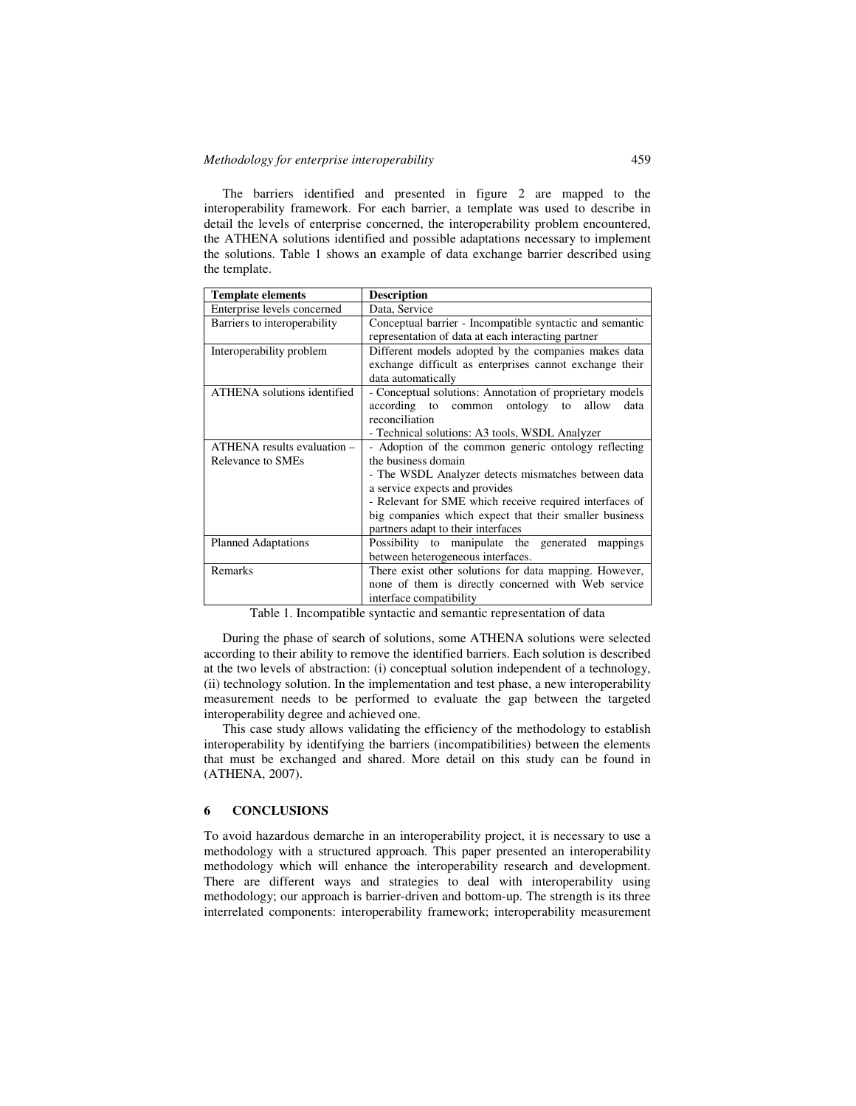#### *Methodology for enterprise interoperability* 459

The barriers identified and presented in figure 2 are mapped to the interoperability framework. For each barrier, a template was used to describe in detail the levels of enterprise concerned, the interoperability problem encountered, the ATHENA solutions identified and possible adaptations necessary to implement the solutions. Table 1 shows an example of data exchange barrier described using the template.

| <b>Template elements</b>           | <b>Description</b>                                        |  |
|------------------------------------|-----------------------------------------------------------|--|
| Enterprise levels concerned        | Data, Service                                             |  |
| Barriers to interoperability       | Conceptual barrier - Incompatible syntactic and semantic  |  |
|                                    | representation of data at each interacting partner        |  |
| Interoperability problem           | Different models adopted by the companies makes data      |  |
|                                    | exchange difficult as enterprises cannot exchange their   |  |
|                                    | data automatically                                        |  |
| <b>ATHENA</b> solutions identified | - Conceptual solutions: Annotation of proprietary models  |  |
|                                    | according to<br>ontology<br>allow<br>to<br>data<br>common |  |
|                                    | reconciliation                                            |  |
|                                    | - Technical solutions: A3 tools, WSDL Analyzer            |  |
| $ATHENA$ results evaluation $-$    | - Adoption of the common generic ontology reflecting      |  |
| Relevance to SMEs                  | the business domain                                       |  |
|                                    | - The WSDL Analyzer detects mismatches between data       |  |
|                                    | a service expects and provides                            |  |
|                                    | - Relevant for SME which receive required interfaces of   |  |
|                                    | big companies which expect that their smaller business    |  |
|                                    | partners adapt to their interfaces                        |  |
| <b>Planned Adaptations</b>         | Possibility to manipulate the generated<br>mappings       |  |
|                                    | between heterogeneous interfaces.                         |  |
| Remarks                            | There exist other solutions for data mapping. However,    |  |
|                                    | none of them is directly concerned with Web service       |  |
|                                    | interface compatibility                                   |  |

Table 1. Incompatible syntactic and semantic representation of data

During the phase of search of solutions, some ATHENA solutions were selected according to their ability to remove the identified barriers. Each solution is described at the two levels of abstraction: (i) conceptual solution independent of a technology, (ii) technology solution. In the implementation and test phase, a new interoperability measurement needs to be performed to evaluate the gap between the targeted interoperability degree and achieved one.

This case study allows validating the efficiency of the methodology to establish interoperability by identifying the barriers (incompatibilities) between the elements that must be exchanged and shared. More detail on this study can be found in (ATHENA, 2007).

#### **6 CONCLUSIONS**

To avoid hazardous demarche in an interoperability project, it is necessary to use a methodology with a structured approach. This paper presented an interoperability methodology which will enhance the interoperability research and development. There are different ways and strategies to deal with interoperability using methodology; our approach is barrier-driven and bottom-up. The strength is its three interrelated components: interoperability framework; interoperability measurement